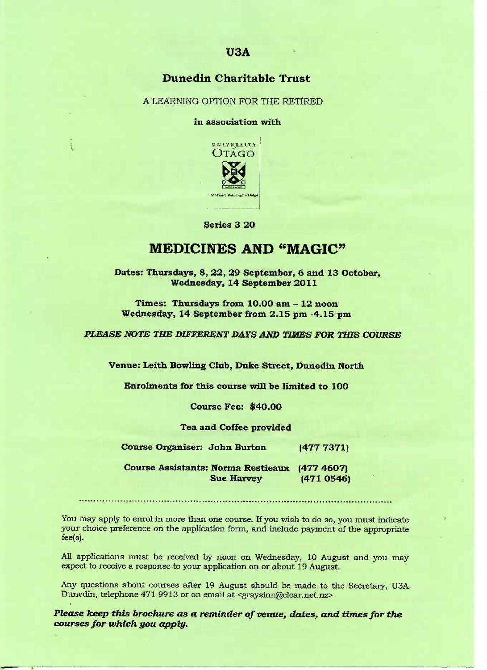## **Dunedin Charitable Trust**

A LEARNING OPTION FOR THE RETIRED

in association with



**Series 3 20**

# **MEDICINES AND "MAGIC"**

**Dates: Thursdays, 8, 22, 29 September, 6 and 13 October, Wednesday, 14 September 2011**

**Times: Thursdays from 10.OO am - 12 noon Wednesday, 14 September from 2.15 pm -4.15 pm**

*PLEASE NOTE THE DIFFERENT DAYS AND TIMES FOR THIS COURSE*

**Venue: Leith Bowling Club, Duke Street, Dunedin North**

**Enrolments for this course will be limited to 100**

**Course Fee: \$40.00**

**Tea and Coffee provided**

**Course Organiser: John Burton (477 7371)**

**Course Assistants: Norma Restieaux (477 46O7) Sue Harvey (471 O546)**

You may apply to enrol in more than one course. If you wish to do so, you must indicate your choice preference on the application form, and include payment of the appropriate fee(s).

All applications must be received by noon on Wednesday, 10 August and you may expect to receive a response to your application on or about 19 August.

Any questions about courses after 19 August should be made to the Secretary, USA Dunedin, telephone 471 9913 or on email at <graysinn@clear.net.nz>

*Please keep this brochure as a reminder of venue, dates, and times for the courses for which you apply.*